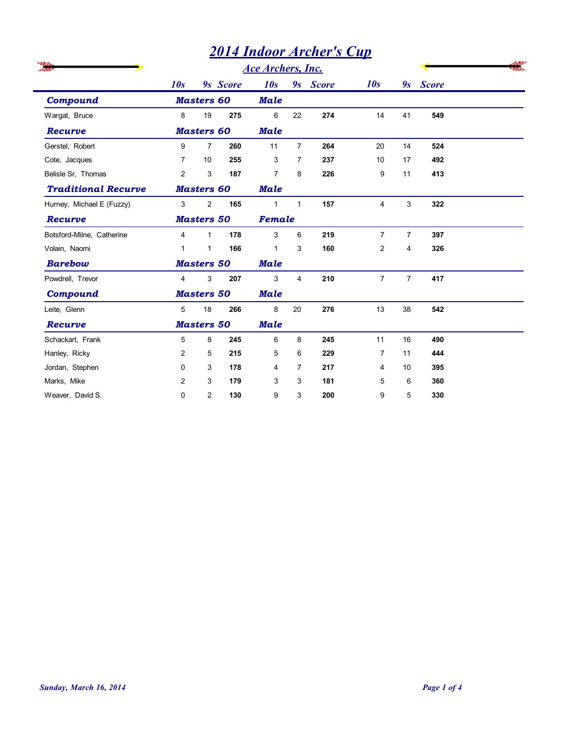## *2014 Indoor Archer's Cup*

|                            |                                      | <b>2014 Indoor Archer's Cup</b> |             |                 |                           |          |                |                |              |  |
|----------------------------|--------------------------------------|---------------------------------|-------------|-----------------|---------------------------|----------|----------------|----------------|--------------|--|
|                            | <b>Ace Archers, Inc.</b><br>9s Score |                                 |             |                 |                           |          |                |                |              |  |
|                            | 10s                                  |                                 |             | 10s             |                           | 9s Score | 10s            | 9s             | <b>Score</b> |  |
| <b>Compound</b>            |                                      | <b>Masters 60</b>               |             | <b>Male</b>     |                           |          |                |                |              |  |
| Wargat, Bruce              | 8                                    | 19                              | 275         | 6               | 22                        | 274      | 14             | 41             | 549          |  |
| Recurve                    |                                      | <b>Masters 60</b>               |             | <b>Male</b>     |                           |          |                |                |              |  |
| Gerstel, Robert            | 9                                    | $\overline{7}$                  | 260         | 11              | $\overline{7}$            | 264      | 20             | 14             | 524          |  |
| Cote, Jacques              | 7                                    | 10                              | 255         | 3               | $\overline{7}$            | 237      | 10             | 17             | 492          |  |
| Belisle Sr, Thomas         | $\overline{2}$                       | 3                               | 187         | $\overline{7}$  | 8                         | 226      | 9              | 11             | 413          |  |
| <b>Traditional Recurve</b> |                                      | <b>Masters 60</b>               |             | <b>Male</b>     |                           |          |                |                |              |  |
| Hurney, Michael E (Fuzzy)  | 3                                    | $\overline{2}$                  | 165         | $\mathbf{1}$    | $\mathbf{1}$              | 157      | $\overline{4}$ | 3              | 322          |  |
| Recurve                    | <b>Masters 50</b>                    |                                 | Female      |                 |                           |          |                |                |              |  |
| Botsford-Milne, Catherine  | 4                                    | $\mathbf{1}$                    | 178         | $\mathsf 3$     | 6                         | 219      | $\overline{7}$ | $\overline{7}$ | 397          |  |
| Volain, Naomi              | $\mathbf{1}$                         | $\mathbf{1}$                    | 166         | $\mathbf{1}$    | 3                         | 160      | $\overline{c}$ | 4              | 326          |  |
| <b>Barebow</b>             | <b>Masters 50</b>                    |                                 | Male        |                 |                           |          |                |                |              |  |
| Powdrell, Trevor           | $\overline{4}$                       | 3                               | 207         | 3               | $\overline{4}$            | 210      | $\overline{7}$ | $\overline{7}$ | 417          |  |
| Compound                   | <b>Masters 50</b>                    |                                 | <b>Male</b> |                 |                           |          |                |                |              |  |
| Leite, Glenn               | 5                                    | 18                              | 266         | 8               | 20                        | 276      | 13             | 38             | 542          |  |
| Recurve                    |                                      | <b>Masters 50</b>               |             | <b>Male</b>     |                           |          |                |                |              |  |
| Schackart, Frank           | 5                                    | 8                               | 245         | $6\overline{6}$ | 8 <sup>8</sup>            | 245      | 11             | $16\,$         | 490          |  |
| Hanley, Ricky              | 2                                    | 5                               | 215         | 5               | 6                         | 229      | 7              | 11             | 444          |  |
| Jordan, Stephen            | 0                                    | 3                               | 178         | 4               | $\overline{7}$            | 217      | 4              | 10             | 395          |  |
| Marks, Mike                | 2                                    | 3                               | 179         | 3               | 3                         | 181      | 5              | 6              | 360          |  |
| Weaver, David S.           | 0                                    | $\overline{c}$                  | 130         | 9               | $\ensuremath{\mathsf{3}}$ | 200      | 9              | 5              | 330          |  |

÷.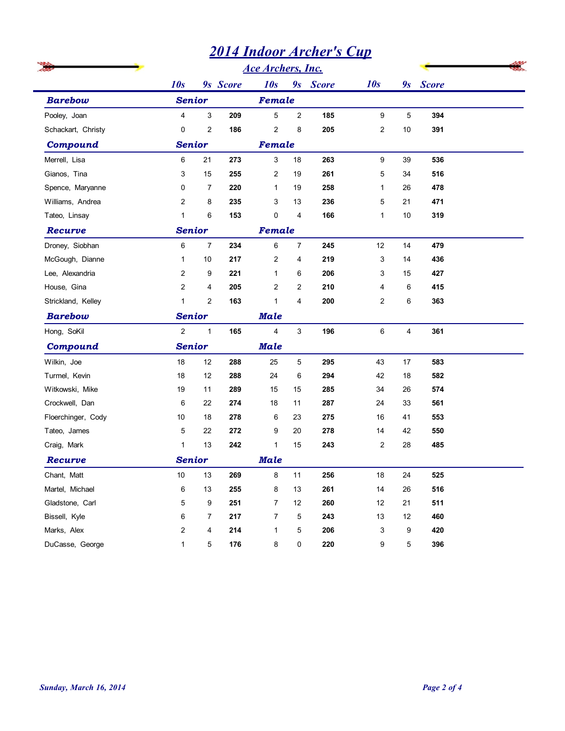|                                    |                            | <b>2014 Indoor Archer's Cup</b> |             |                            |                           |            |                  |          |            |  |
|------------------------------------|----------------------------|---------------------------------|-------------|----------------------------|---------------------------|------------|------------------|----------|------------|--|
|                                    |                            |                                 |             | <b>Ace Archers, Inc.</b>   |                           |            | 10s              |          |            |  |
| <b>Barebow</b>                     | 10s                        | 9s Score<br><b>Senior</b>       |             |                            | 10s<br>9s Score<br>Female |            |                  |          | 9s Score   |  |
|                                    | 3<br>$\overline{4}$<br>209 |                                 |             | 5<br>$\overline{2}$<br>185 |                           |            | 9                | 5        | 394        |  |
| Pooley, Joan<br>Schackart, Christy | $\mathbf 0$                | 2                               | 186         | $\overline{2}$             | 8                         | 205        | $\mathbf{2}$     | 10       | 391        |  |
| <b>Compound</b>                    |                            |                                 |             | Female                     |                           |            |                  |          |            |  |
|                                    |                            | <b>Senior</b><br>6<br>21<br>273 |             |                            |                           |            |                  |          |            |  |
| Merrell, Lisa<br>Gianos, Tina      | 3                          | 15                              | 255         | 3<br>$\overline{2}$        | 18<br>19                  | 263<br>261 | 9<br>5           | 39<br>34 | 536<br>516 |  |
| Spence, Maryanne                   | 0                          | $\overline{7}$                  | 220         | $\mathbf{1}$               | 19                        | 258        | $\mathbf{1}$     | 26       | 478        |  |
| Williams, Andrea                   | $\overline{2}$             | 8                               | 235         | 3                          | 13                        | 236        | 5                | 21       | 471        |  |
| Tateo, Linsay                      | $\mathbf{1}$               | 6                               | 153         | $\mathbf 0$                | 4                         | 166        | $\mathbf{1}$     | 10       | 319        |  |
| Recurve                            | <b>Senior</b>              |                                 |             | Female                     |                           |            |                  |          |            |  |
| Droney, Siobhan                    | 6                          | $\overline{7}$                  | 234         | 6                          | $\overline{7}$            | 245        | 12               | 14       | 479        |  |
| McGough, Dianne                    | $\mathbf{1}$               | 10                              | 217         | $\overline{2}$             | 4                         | 219        | 3                | 14       | 436        |  |
| Lee, Alexandria                    | 2                          | 9                               | 221         | $\mathbf{1}$               | 6                         | 206        | 3                | 15       | 427        |  |
| House, Gina                        | $\overline{2}$             | $\overline{4}$                  | 205         | $\overline{2}$             | $\overline{2}$            | 210        | 4                | 6        | 415        |  |
| Strickland, Kelley                 | $\mathbf{1}$               | $\overline{c}$                  | 163         | $\mathbf{1}$               | 4                         | 200        | $\overline{2}$   | 6        | 363        |  |
| <b>Barebow</b>                     | <b>Senior</b>              |                                 | <b>Male</b> |                            |                           |            |                  |          |            |  |
| Hong, SoKil                        | $\overline{c}$             | $\mathbf{1}$                    | 165         | 4                          | 3                         | 196        | 6                | 4        | 361        |  |
| <b>Compound</b>                    | <b>Senior</b>              |                                 |             | <b>Male</b>                |                           |            |                  |          |            |  |
| Wilkin, Joe                        | $18\,$                     | $12$                            | 288         | 25                         | 5                         | 295        | 43               | 17       | 583        |  |
| Turmel, Kevin                      | $18$                       | $12$                            | 288         | 24                         | $\,6$                     | 294        | 42               | $18\,$   | 582        |  |
| Witkowski, Mike                    | 19                         | 11                              | 289         | 15                         | 15                        | 285        | $34\,$           | 26       | 574        |  |
| Crockwell, Dan                     | 6                          | $22\,$                          | 274         | 18                         | 11                        | 287        | 24               | 33       | 561        |  |
| Floerchinger, Cody                 | $10\,$                     | 18                              | 278         | 6                          | 23                        | 275        | $16\,$           | 41       | 553        |  |
| Tateo, James                       | 5                          | $22\,$                          | 272         | 9                          | 20                        | 278        | 14               | 42       | 550        |  |
| Craig, Mark                        | $\mathbf{1}$               | 13                              | 242         | $\mathbf{1}$               | 15                        | 243        | $\boldsymbol{2}$ | 28       | 485        |  |
| Recurve                            | <b>Senior</b>              |                                 |             | <b>Male</b>                |                           |            |                  |          |            |  |
| Chant, Matt                        | $10\,$                     | 13                              | 269         | 8                          | 11                        | 256        | $18$             | 24       | 525        |  |
| Martel, Michael                    | 6                          | 13                              | 255         | 8                          | $13$                      | 261        | 14               | 26       | 516        |  |
| Gladstone, Carl                    | 5                          | 9                               | 251         | $\overline{7}$             | 12                        | 260        | 12               | 21       | 511        |  |
| Bissell, Kyle                      | 6                          | $\overline{7}$                  | 217         | $\overline{7}$             | 5                         | 243        | 13               | 12       | 460        |  |
| Marks, Alex                        | $\overline{c}$             | 4                               | 214         | $\mathbf{1}$               | 5                         | 206        | 3                | 9        | 420        |  |
| DuCasse, George                    | $\mathbf{1}$               | $\overline{5}$                  | 176         | 8                          | 0                         | 220        | 9                | 5        | 396        |  |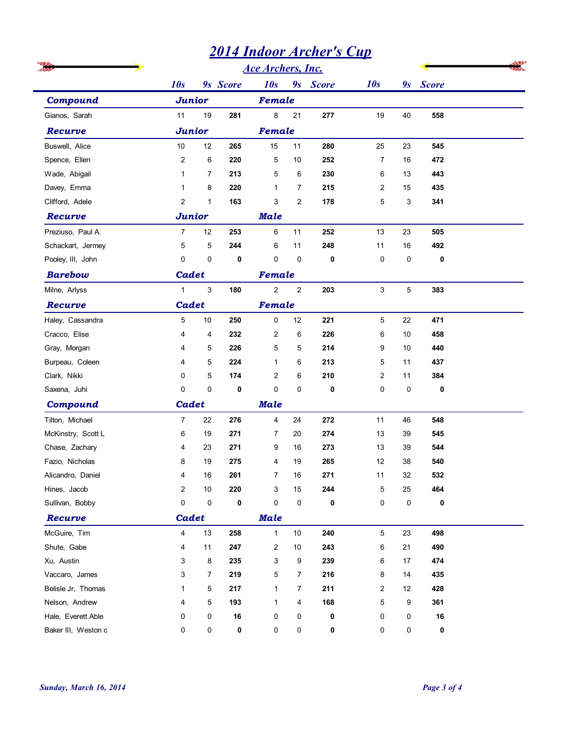## *2014 Indoor Archer's Cup*

|                                           |                         |                |             | <b>Ace Archers, Inc.</b> |                |          |                |           |           |  |
|-------------------------------------------|-------------------------|----------------|-------------|--------------------------|----------------|----------|----------------|-----------|-----------|--|
|                                           | 10s                     |                | 9s Score    | 10s                      |                | 9s Score | 10s            |           | 9s Score  |  |
| Compound                                  | <b>Junior</b>           |                |             | Female                   |                |          |                |           |           |  |
| Gianos, Sarah                             | 11                      | 19             | 281         | 8                        | 21             | 277      | 19             | 40        | 558       |  |
| Recurve                                   | <b>Junior</b>           |                |             | Female                   |                |          |                |           |           |  |
| Buswell, Alice                            | 10                      | 12             | 265         | 15                       | 11             | 280      | 25             | 23        | 545       |  |
| Spence, Ellen                             | $\overline{2}$          | 6              | 220         | 5                        | 10             | 252      | 7              | 16        | 472       |  |
| Wade, Abigail                             | $\mathbf{1}$            | $\overline{7}$ | 213         | 5                        | 6              | 230      | 6              | 13        | 443       |  |
| Davey, Emma                               | $\mathbf 1$             | 8              | 220         | $\mathbf{1}$             | $\overline{7}$ | 215      | $\overline{2}$ | 15        | 435       |  |
| Clifford, Adele                           | $\overline{c}$          | $\mathbf{1}$   | 163         | 3                        | $\overline{2}$ | 178      | 5              | 3         | 341       |  |
| Recurve                                   | <b>Junior</b>           |                |             | <b>Male</b>              |                |          |                |           |           |  |
| Preziuso, Paul A.                         | $\overline{7}$          | 12             | 253         | 6                        | 11             | 252      | 13             | 23        | 505       |  |
| Schackart, Jermey                         | $\overline{5}$          | $\overline{5}$ | 244         | 6                        | 11             | 248      | 11             | 16        | 492       |  |
| Pooley, III, John                         | $\mathbf 0$             | $\pmb{0}$      | 0           | $\mathbf 0$              | $\mathbf 0$    | 0        | 0              | 0         | 0         |  |
| <b>Barebow</b>                            | Cadet                   |                |             | Female                   |                |          |                |           |           |  |
| Milne, Arlyss                             | $\mathbf{1}$            | $\mathsf 3$    | 180         | $\overline{c}$           | $\mathbf{2}$   | 203      | 3              | 5         | 383       |  |
| Recurve                                   | Cadet                   |                |             | Female                   |                |          |                |           |           |  |
| Haley, Cassandra                          | 5                       | 10             | 250         | 0                        | 12             | 221      | 5              | 22        | 471       |  |
| Cracco, Elise                             | 4                       | 4              | 232         | $\overline{2}$           | 6              | 226      | 6              | 10        | 458       |  |
| Gray, Morgan                              | $\overline{4}$          | 5              | 226         | 5                        | 5              | 214      | 9              | 10        | 440       |  |
| Burpeau, Coleen                           | 4                       | $\sqrt{5}$     | 224         | $\mathbf{1}$             | 6              | 213      | 5              | 11        | 437       |  |
| Clark, Nikki                              | 0                       | 5              | 174         | $\overline{c}$           | 6              | 210      | $\overline{c}$ | 11        | 384       |  |
| Saxena, Juhi                              | 0                       | $\pmb{0}$      | 0           | $\mathsf 0$              | 0              | 0        | 0              | $\pmb{0}$ | $\pmb{0}$ |  |
| Compound                                  | Cadet                   |                |             | <b>Male</b>              |                |          |                |           |           |  |
| Tilton, Michael                           | $\overline{7}$          | 22             | 276         | $\overline{\mathbf{4}}$  | 24             | 272      | 11             | 46        | 548       |  |
| McKinstry, Scott L                        | 6                       | 19             | 271         | $\overline{7}$           | 20             | 274      | $13$           | $39\,$    | 545       |  |
| Chase, Zachary                            | 4                       | 23             | 271         | 9                        | 16             | 273      | 13             | 39        | 544       |  |
| Fazio, Nicholas                           | 8                       | 19             | 275         | 4                        | 19             | 265      | 12             | 38        | 540       |  |
| Alicandro, Daniel                         | 4                       | 16             | 261         | $\overline{7}$           | 16             | 271      | 11             | 32        | 532       |  |
| Hines, Jacob                              | $\overline{c}$          | 10             | 220         | 3                        | 15             | 244      | $\mathbf 5$    | 25        | 464       |  |
| Sullivan, Bobby                           | 0                       | $\pmb{0}$      | 0           | $\pmb{0}$                | $\pmb{0}$      | 0        | 0              | $\pmb{0}$ | 0         |  |
| Recurve                                   | Cadet                   |                |             | <b>Male</b>              |                |          |                |           |           |  |
| McGuire, Tim                              | $\overline{\mathbf{4}}$ | 13             | 258         | $\mathbf{1}$             | $10\,$         | 240      | 5              | 23        | 498       |  |
| Shute, Gabe                               | 4                       | 11             | 247         | 2                        | $10$           | 243      | 6              | 21        | 490       |  |
| Xu, Austin                                | 3                       | 8              | 235         | 3                        | 9              | 239      | 6              | 17        | 474       |  |
| Vaccaro, James                            | 3                       | $\overline{7}$ | 219         | 5                        | $\overline{7}$ | 216      | 8              | 14        | 435       |  |
| Belisle Jr, Thomas                        | 1                       | 5              | 217         | $\mathbf{1}$             | $\overline{7}$ | 211      | $\overline{c}$ | 12        | 428       |  |
| Nelson, Andrew                            | 4                       | $\overline{5}$ | 193         | $\mathbf{1}$             | 4              | 168      | 5              | 9         | 361       |  |
| Hale, Everett Able<br>Baker III, Weston c | 0<br>0                  | 0<br>0         | $16\,$<br>0 | 0<br>$\pmb{0}$           | 0<br>$\pmb{0}$ | 0<br>0   | 0<br>0         | 0<br>0    | 16<br>0   |  |